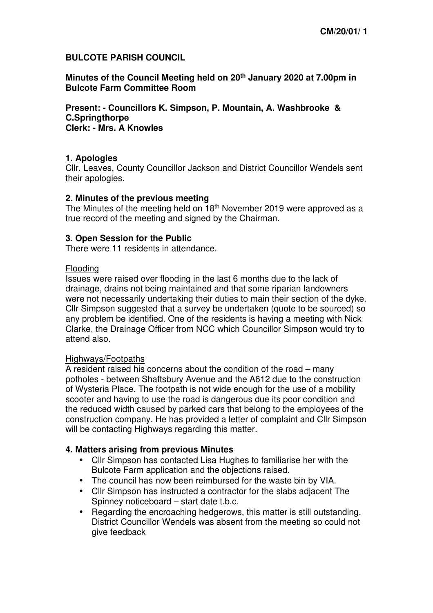## **BULCOTE PARISH COUNCIL**

**Minutes of the Council Meeting held on 20th January 2020 at 7.00pm in Bulcote Farm Committee Room** 

**Present: - Councillors K. Simpson, P. Mountain, A. Washbrooke & C.Springthorpe Clerk: - Mrs. A Knowles** 

## **1. Apologies**

Cllr. Leaves, County Councillor Jackson and District Councillor Wendels sent their apologies.

### **2. Minutes of the previous meeting**

The Minutes of the meeting held on 18th November 2019 were approved as a true record of the meeting and signed by the Chairman.

## **3. Open Session for the Public**

There were 11 residents in attendance.

### Flooding

Issues were raised over flooding in the last 6 months due to the lack of drainage, drains not being maintained and that some riparian landowners were not necessarily undertaking their duties to main their section of the dyke. Cllr Simpson suggested that a survey be undertaken (quote to be sourced) so any problem be identified. One of the residents is having a meeting with Nick Clarke, the Drainage Officer from NCC which Councillor Simpson would try to attend also.

### Highways/Footpaths

A resident raised his concerns about the condition of the road – many potholes - between Shaftsbury Avenue and the A612 due to the construction of Wysteria Place. The footpath is not wide enough for the use of a mobility scooter and having to use the road is dangerous due its poor condition and the reduced width caused by parked cars that belong to the employees of the construction company. He has provided a letter of complaint and Cllr Simpson will be contacting Highways regarding this matter.

### **4. Matters arising from previous Minutes**

- Cllr Simpson has contacted Lisa Hughes to familiarise her with the Bulcote Farm application and the objections raised.
- The council has now been reimbursed for the waste bin by VIA.
- Cllr Simpson has instructed a contractor for the slabs adjacent The Spinney noticeboard – start date t.b.c.
- Regarding the encroaching hedgerows, this matter is still outstanding. District Councillor Wendels was absent from the meeting so could not give feedback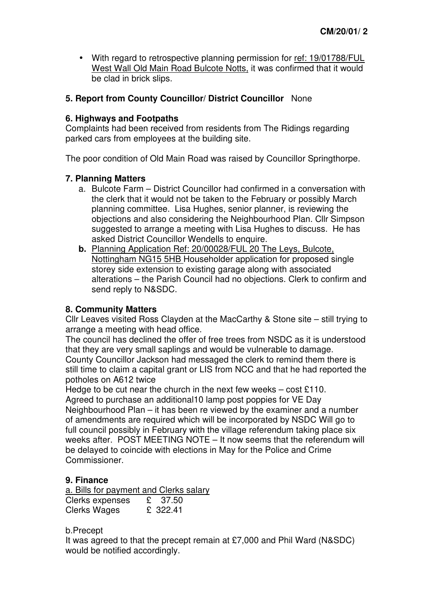• With regard to retrospective planning permission for ref: 19/01788/FUL West Wall Old Main Road Bulcote Notts, it was confirmed that it would be clad in brick slips.

## **5. Report from County Councillor/ District Councillor** None

### **6. Highways and Footpaths**

Complaints had been received from residents from The Ridings regarding parked cars from employees at the building site.

The poor condition of Old Main Road was raised by Councillor Springthorpe.

## **7. Planning Matters**

- a. Bulcote Farm District Councillor had confirmed in a conversation with the clerk that it would not be taken to the February or possibly March planning committee. Lisa Hughes, senior planner, is reviewing the objections and also considering the Neighbourhood Plan. Cllr Simpson suggested to arrange a meeting with Lisa Hughes to discuss. He has asked District Councillor Wendells to enquire.
- **b.** Planning Application Ref: 20/00028/FUL 20 The Leys, Bulcote, Nottingham NG15 5HB Householder application for proposed single storey side extension to existing garage along with associated alterations – the Parish Council had no objections. Clerk to confirm and send reply to N&SDC.

## **8. Community Matters**

Cllr Leaves visited Ross Clayden at the MacCarthy & Stone site – still trying to arrange a meeting with head office.

The council has declined the offer of free trees from NSDC as it is understood that they are very small saplings and would be vulnerable to damage.

County Councillor Jackson had messaged the clerk to remind them there is still time to claim a capital grant or LIS from NCC and that he had reported the potholes on A612 twice

Hedge to be cut near the church in the next few weeks – cost £110. Agreed to purchase an additional10 lamp post poppies for VE Day Neighbourhood Plan – it has been re viewed by the examiner and a number of amendments are required which will be incorporated by NSDC Will go to full council possibly in February with the village referendum taking place six weeks after. POST MEETING NOTE – It now seems that the referendum will be delayed to coincide with elections in May for the Police and Crime Commissioner.

# **9. Finance**

 $a.$  Bills for payment and Clerks salary<br>Clerks expenses  $E = 37.50$ Clerks expenses Clerks Wages £ 322.41

b.Precept

It was agreed to that the precept remain at £7,000 and Phil Ward (N&SDC) would be notified accordingly.